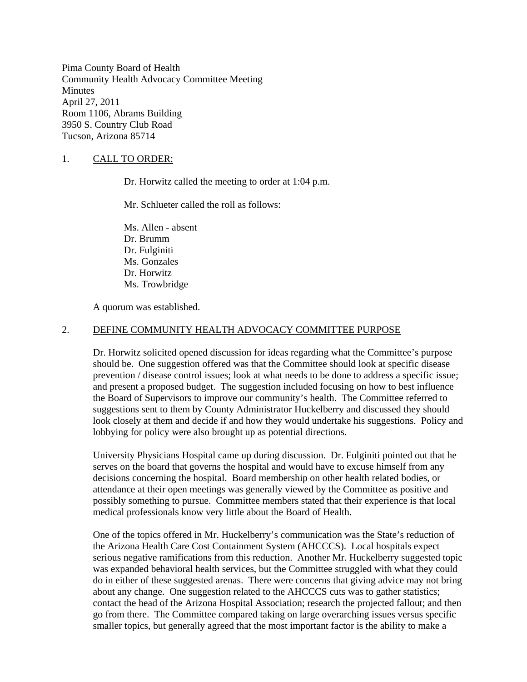Pima County Board of Health Community Health Advocacy Committee Meeting Minutes April 27, 2011 Room 1106, Abrams Building 3950 S. Country Club Road Tucson, Arizona 85714

### 1. CALL TO ORDER:

Dr. Horwitz called the meeting to order at 1:04 p.m.

Mr. Schlueter called the roll as follows:

Ms. Allen - absent Dr. Brumm Dr. Fulginiti Ms. Gonzales Dr. Horwitz Ms. Trowbridge

A quorum was established.

#### 2. DEFINE COMMUNITY HEALTH ADVOCACY COMMITTEE PURPOSE

Dr. Horwitz solicited opened discussion for ideas regarding what the Committee's purpose should be. One suggestion offered was that the Committee should look at specific disease prevention / disease control issues; look at what needs to be done to address a specific issue; and present a proposed budget. The suggestion included focusing on how to best influence the Board of Supervisors to improve our community's health. The Committee referred to suggestions sent to them by County Administrator Huckelberry and discussed they should look closely at them and decide if and how they would undertake his suggestions. Policy and lobbying for policy were also brought up as potential directions.

University Physicians Hospital came up during discussion. Dr. Fulginiti pointed out that he serves on the board that governs the hospital and would have to excuse himself from any decisions concerning the hospital. Board membership on other health related bodies, or attendance at their open meetings was generally viewed by the Committee as positive and possibly something to pursue. Committee members stated that their experience is that local medical professionals know very little about the Board of Health.

One of the topics offered in Mr. Huckelberry's communication was the State's reduction of the Arizona Health Care Cost Containment System (AHCCCS). Local hospitals expect serious negative ramifications from this reduction. Another Mr. Huckelberry suggested topic was expanded behavioral health services, but the Committee struggled with what they could do in either of these suggested arenas. There were concerns that giving advice may not bring about any change. One suggestion related to the AHCCCS cuts was to gather statistics; contact the head of the Arizona Hospital Association; research the projected fallout; and then go from there. The Committee compared taking on large overarching issues versus specific smaller topics, but generally agreed that the most important factor is the ability to make a